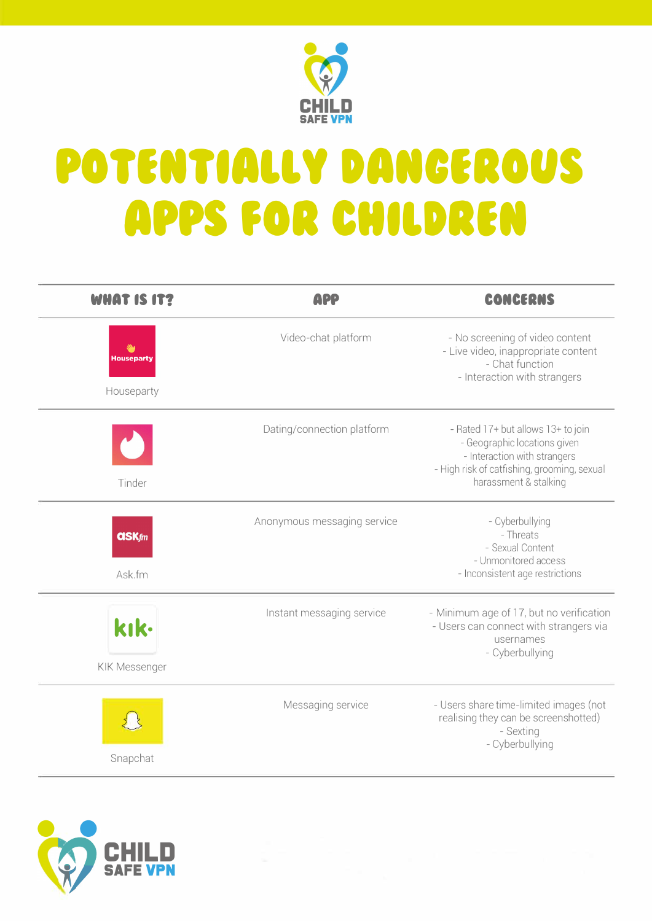

## POTENTIALLY DANGEROUS **APPS FOR CHILDREN**

| <b>WHAT IS IT?</b>              | <b>APP</b>                  | CONCERNS                                                                                                                                                                   |
|---------------------------------|-----------------------------|----------------------------------------------------------------------------------------------------------------------------------------------------------------------------|
| <b>Houseparty</b><br>Houseparty | Video-chat platform         | - No screening of video content<br>- Live video, inappropriate content<br>- Chat function<br>- Interaction with strangers                                                  |
| Tinder                          | Dating/connection platform  | - Rated 17+ but allows 13+ to join<br>- Geographic locations given<br>- Interaction with strangers<br>- High risk of catfishing, grooming, sexual<br>harassment & stalking |
| $QSK$ <i>fm</i><br>Ask.fm       | Anonymous messaging service | - Cyberbullying<br>- Threats<br>- Sexual Content<br>- Unmonitored access<br>- Inconsistent age restrictions                                                                |
| kık.<br>KIK Messenger           | Instant messaging service   | - Minimum age of 17, but no verification<br>- Users can connect with strangers via<br>usernames<br>- Cyberbullying                                                         |
| Snapchat                        | Messaging service           | - Users share time-limited images (not<br>realising they can be screenshotted)<br>- Sexting<br>- Cyberbullying                                                             |